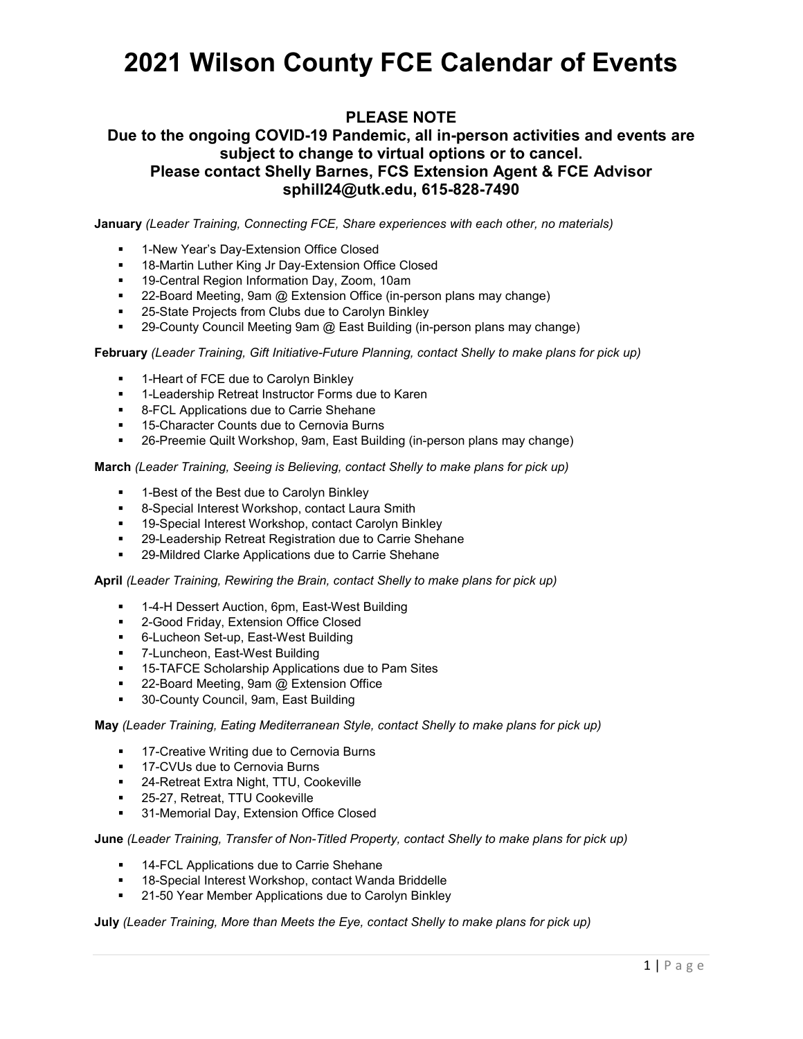## **2021 Wilson County FCE Calendar of Events**

## **PLEASE NOTE**

### **Due to the ongoing COVID-19 Pandemic, all in-person activities and events are subject to change to virtual options or to cancel. Please contact Shelly Barnes, FCS Extension Agent & FCE Advisor sphill24@utk.edu, 615-828-7490**

**January** *(Leader Training, Connecting FCE, Share experiences with each other, no materials)*

- 1-New Year's Day-Extension Office Closed
- 18-Martin Luther King Jr Day-Extension Office Closed
- <sup>19</sup>-Central Region Information Day, Zoom, 10am
- 22-Board Meeting, 9am @ Extension Office (in-person plans may change)
- **25-State Projects from Clubs due to Carolyn Binkley**
- **29-County Council Meeting 9am @ East Building (in-person plans may change)**

### **February** *(Leader Training, Gift Initiative-Future Planning, contact Shelly to make plans for pick up)*

- 1-Heart of FCE due to Carolyn Binkley
- **-** 1-Leadership Retreat Instructor Forms due to Karen
- **8-FCL Applications due to Carrie Shehane**
- **15-Character Counts due to Cernovia Burns**
- 26-Preemie Quilt Workshop, 9am, East Building (in-person plans may change)

**March** *(Leader Training, Seeing is Believing, contact Shelly to make plans for pick up)*

- 1-Best of the Best due to Carolyn Binkley
- 8-Special Interest Workshop, contact Laura Smith
- **19-Special Interest Workshop, contact Carolyn Binkley**
- 29-Leadership Retreat Registration due to Carrie Shehane
- **29-Mildred Clarke Applications due to Carrie Shehane**

#### **April** *(Leader Training, Rewiring the Brain, contact Shelly to make plans for pick up)*

- 1-4-H Dessert Auction, 6pm, East-West Building
- **2-Good Friday, Extension Office Closed**
- 6-Lucheon Set-up, East-West Building
- 7-Luncheon, East-West Building
- 15-TAFCE Scholarship Applications due to Pam Sites
- 22-Board Meeting, 9am @ Extension Office
- **30-County Council, 9am, East Building**

### **May** *(Leader Training, Eating Mediterranean Style, contact Shelly to make plans for pick up)*

- **17-Creative Writing due to Cernovia Burns**
- **17-CVUs due to Cernovia Burns**
- 24-Retreat Extra Night, TTU, Cookeville
- **25-27, Retreat, TTU Cookeville**
- **31-Memorial Day, Extension Office Closed**

### **June** *(Leader Training, Transfer of Non-Titled Property, contact Shelly to make plans for pick up)*

- **14-FCL Applications due to Carrie Shehane**
- 18-Special Interest Workshop, contact Wanda Briddelle
- **21-50 Year Member Applications due to Carolyn Binkley**

**July** *(Leader Training, More than Meets the Eye, contact Shelly to make plans for pick up)*